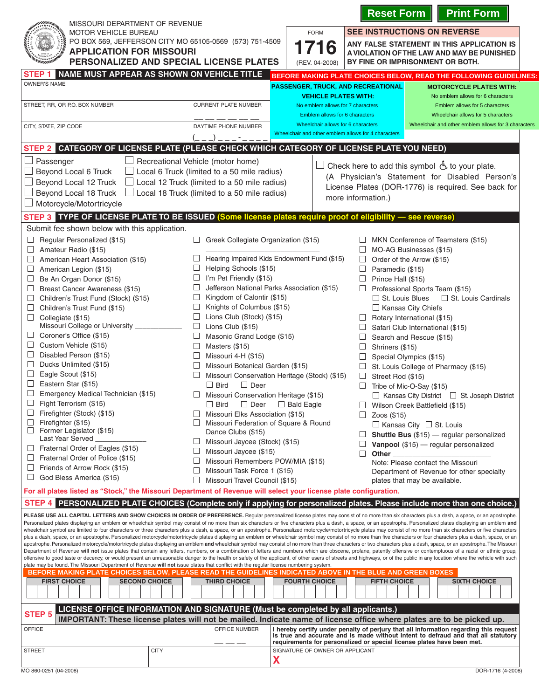|                                                                                                                                                                                                                                                                                                                                                                                                                                                                                                                                                                                                                                                                                                                                                                                                                                                                                                                                                                                                                                                                                                                                                                                                                                                                                                                                                                                                                                                                                                                                                                                                                                                                                                                                                                                                                                                                                                                                                                                                                                                                                                                                                                                   |                                                                                                                                                                                                                                                                                                                                                                                                                                                                                                                                                                                                                                                                                                                                                                                                                                                                                                                         |                                                                                           | <b>Reset Form</b>                                                                                                                                                                | <b>Print Form</b>                                                                                                                                                                                                                                                                                                                                                                                                                                                                                                                                                                                                                                                                                                                                    |
|-----------------------------------------------------------------------------------------------------------------------------------------------------------------------------------------------------------------------------------------------------------------------------------------------------------------------------------------------------------------------------------------------------------------------------------------------------------------------------------------------------------------------------------------------------------------------------------------------------------------------------------------------------------------------------------------------------------------------------------------------------------------------------------------------------------------------------------------------------------------------------------------------------------------------------------------------------------------------------------------------------------------------------------------------------------------------------------------------------------------------------------------------------------------------------------------------------------------------------------------------------------------------------------------------------------------------------------------------------------------------------------------------------------------------------------------------------------------------------------------------------------------------------------------------------------------------------------------------------------------------------------------------------------------------------------------------------------------------------------------------------------------------------------------------------------------------------------------------------------------------------------------------------------------------------------------------------------------------------------------------------------------------------------------------------------------------------------------------------------------------------------------------------------------------------------|-------------------------------------------------------------------------------------------------------------------------------------------------------------------------------------------------------------------------------------------------------------------------------------------------------------------------------------------------------------------------------------------------------------------------------------------------------------------------------------------------------------------------------------------------------------------------------------------------------------------------------------------------------------------------------------------------------------------------------------------------------------------------------------------------------------------------------------------------------------------------------------------------------------------------|-------------------------------------------------------------------------------------------|----------------------------------------------------------------------------------------------------------------------------------------------------------------------------------|------------------------------------------------------------------------------------------------------------------------------------------------------------------------------------------------------------------------------------------------------------------------------------------------------------------------------------------------------------------------------------------------------------------------------------------------------------------------------------------------------------------------------------------------------------------------------------------------------------------------------------------------------------------------------------------------------------------------------------------------------|
| MISSOURI DEPARTMENT OF REVENUE<br><b>MOTOR VEHICLE BUREAU</b>                                                                                                                                                                                                                                                                                                                                                                                                                                                                                                                                                                                                                                                                                                                                                                                                                                                                                                                                                                                                                                                                                                                                                                                                                                                                                                                                                                                                                                                                                                                                                                                                                                                                                                                                                                                                                                                                                                                                                                                                                                                                                                                     |                                                                                                                                                                                                                                                                                                                                                                                                                                                                                                                                                                                                                                                                                                                                                                                                                                                                                                                         | <b>FORM</b>                                                                               | <b>SEE INSTRUCTIONS ON REVERSE</b>                                                                                                                                               |                                                                                                                                                                                                                                                                                                                                                                                                                                                                                                                                                                                                                                                                                                                                                      |
| PO BOX 569, JEFFERSON CITY MO 65105-0569 (573) 751-4509<br><b>APPLICATION FOR MISSOURI</b><br>PERSONALIZED AND SPECIAL LICENSE PLATES                                                                                                                                                                                                                                                                                                                                                                                                                                                                                                                                                                                                                                                                                                                                                                                                                                                                                                                                                                                                                                                                                                                                                                                                                                                                                                                                                                                                                                                                                                                                                                                                                                                                                                                                                                                                                                                                                                                                                                                                                                             | 716<br>(REV. 04-2008)                                                                                                                                                                                                                                                                                                                                                                                                                                                                                                                                                                                                                                                                                                                                                                                                                                                                                                   |                                                                                           | ANY FALSE STATEMENT IN THIS APPLICATION IS<br>A VIOLATION OF THE LAW AND MAY BE PUNISHED<br>BY FINE OR IMPRISONMENT OR BOTH.                                                     |                                                                                                                                                                                                                                                                                                                                                                                                                                                                                                                                                                                                                                                                                                                                                      |
| NAME MUST APPEAR AS SHOWN ON VEHICLE TITLE<br><b>STEP</b>                                                                                                                                                                                                                                                                                                                                                                                                                                                                                                                                                                                                                                                                                                                                                                                                                                                                                                                                                                                                                                                                                                                                                                                                                                                                                                                                                                                                                                                                                                                                                                                                                                                                                                                                                                                                                                                                                                                                                                                                                                                                                                                         |                                                                                                                                                                                                                                                                                                                                                                                                                                                                                                                                                                                                                                                                                                                                                                                                                                                                                                                         |                                                                                           |                                                                                                                                                                                  | BEFORE MAKING PLATE CHOICES BELOW, READ THE FOLLOWING GUIDELINES:                                                                                                                                                                                                                                                                                                                                                                                                                                                                                                                                                                                                                                                                                    |
| <b>OWNER'S NAME</b>                                                                                                                                                                                                                                                                                                                                                                                                                                                                                                                                                                                                                                                                                                                                                                                                                                                                                                                                                                                                                                                                                                                                                                                                                                                                                                                                                                                                                                                                                                                                                                                                                                                                                                                                                                                                                                                                                                                                                                                                                                                                                                                                                               |                                                                                                                                                                                                                                                                                                                                                                                                                                                                                                                                                                                                                                                                                                                                                                                                                                                                                                                         | <b>PASSENGER, TRUCK, AND RECREATIONAL</b><br><b>VEHICLE PLATES WITH:</b>                  |                                                                                                                                                                                  | <b>MOTORCYCLE PLATES WITH:</b><br>No emblem allows for 6 characters                                                                                                                                                                                                                                                                                                                                                                                                                                                                                                                                                                                                                                                                                  |
| STREET, RR, OR P.O. BOX NUMBER                                                                                                                                                                                                                                                                                                                                                                                                                                                                                                                                                                                                                                                                                                                                                                                                                                                                                                                                                                                                                                                                                                                                                                                                                                                                                                                                                                                                                                                                                                                                                                                                                                                                                                                                                                                                                                                                                                                                                                                                                                                                                                                                                    | <b>CURRENT PLATE NUMBER</b>                                                                                                                                                                                                                                                                                                                                                                                                                                                                                                                                                                                                                                                                                                                                                                                                                                                                                             | No emblem allows for 7 characters<br>Emblem allows for 6 characters                       |                                                                                                                                                                                  | Emblem allows for 5 characters<br>Wheelchair allows for 5 characters                                                                                                                                                                                                                                                                                                                                                                                                                                                                                                                                                                                                                                                                                 |
| CITY, STATE, ZIP CODE                                                                                                                                                                                                                                                                                                                                                                                                                                                                                                                                                                                                                                                                                                                                                                                                                                                                                                                                                                                                                                                                                                                                                                                                                                                                                                                                                                                                                                                                                                                                                                                                                                                                                                                                                                                                                                                                                                                                                                                                                                                                                                                                                             | DAYTIME PHONE NUMBER                                                                                                                                                                                                                                                                                                                                                                                                                                                                                                                                                                                                                                                                                                                                                                                                                                                                                                    | Wheelchair allows for 6 characters<br>Wheelchair and other emblem allows for 4 characters |                                                                                                                                                                                  | Wheelchair and other emblem allows for 3 characters                                                                                                                                                                                                                                                                                                                                                                                                                                                                                                                                                                                                                                                                                                  |
| <b>CATEGORY OF LICENSE PLATE (PLEASE CHECK WHICH CATEGORY OF LICENSE PLATE YOU NEED)</b><br><b>STEP 2</b>                                                                                                                                                                                                                                                                                                                                                                                                                                                                                                                                                                                                                                                                                                                                                                                                                                                                                                                                                                                                                                                                                                                                                                                                                                                                                                                                                                                                                                                                                                                                                                                                                                                                                                                                                                                                                                                                                                                                                                                                                                                                         |                                                                                                                                                                                                                                                                                                                                                                                                                                                                                                                                                                                                                                                                                                                                                                                                                                                                                                                         |                                                                                           |                                                                                                                                                                                  |                                                                                                                                                                                                                                                                                                                                                                                                                                                                                                                                                                                                                                                                                                                                                      |
| Passenger<br>Recreational Vehicle (motor home)<br>Check here to add this symbol $\circled{5}$ to your plate.<br>Beyond Local 6 Truck<br>$\Box$ Local 6 Truck (limited to a 50 mile radius)<br>(A Physician's Statement for Disabled Person's<br>Beyond Local 12 Truck<br>$\Box$ Local 12 Truck (limited to a 50 mile radius)<br>License Plates (DOR-1776) is required. See back for<br>Beyond Local 18 Truck<br>$\Box$ Local 18 Truck (limited to a 50 mile radius)<br>more information.)<br>Motorcycle/Motortricycle                                                                                                                                                                                                                                                                                                                                                                                                                                                                                                                                                                                                                                                                                                                                                                                                                                                                                                                                                                                                                                                                                                                                                                                                                                                                                                                                                                                                                                                                                                                                                                                                                                                             |                                                                                                                                                                                                                                                                                                                                                                                                                                                                                                                                                                                                                                                                                                                                                                                                                                                                                                                         |                                                                                           |                                                                                                                                                                                  |                                                                                                                                                                                                                                                                                                                                                                                                                                                                                                                                                                                                                                                                                                                                                      |
| STEP 3 TYPE OF LICENSE PLATE TO BE ISSUED (Some license plates require proof of eligibility - see reverse)                                                                                                                                                                                                                                                                                                                                                                                                                                                                                                                                                                                                                                                                                                                                                                                                                                                                                                                                                                                                                                                                                                                                                                                                                                                                                                                                                                                                                                                                                                                                                                                                                                                                                                                                                                                                                                                                                                                                                                                                                                                                        |                                                                                                                                                                                                                                                                                                                                                                                                                                                                                                                                                                                                                                                                                                                                                                                                                                                                                                                         |                                                                                           |                                                                                                                                                                                  |                                                                                                                                                                                                                                                                                                                                                                                                                                                                                                                                                                                                                                                                                                                                                      |
| Submit fee shown below with this application.<br>Regular Personalized (\$15)<br>Amateur Radio (\$15)<br>American Heart Association (\$15)<br>American Legion (\$15)<br>Be An Organ Donor (\$15)<br>$\Box$<br>Breast Cancer Awareness (\$15)<br>Children's Trust Fund (Stock) (\$15)<br>⊔<br>Children's Trust Fund (\$15)<br>Collegiate (\$15)<br>Missouri College or University _<br>Coroner's Office (\$15)<br>Custom Vehicle (\$15)<br>Disabled Person (\$15)<br>Ducks Unlimited (\$15)<br>⊔<br>Eagle Scout (\$15)<br>Eastern Star (\$15)<br>Emergency Medical Technician (\$15)<br>Fight Terrorism (\$15)<br>Firefighter (Stock) (\$15)<br>Firefighter (\$15)<br>$\Box$<br>Former Legislator (\$15)<br>Last Year Served<br>Fraternal Order of Eagles (\$15)<br>$\Box$<br>$\sqcup$<br>Fraternal Order of Police (\$15)<br>Friends of Arrow Rock (\$15)<br>⊔<br>God Bless America (\$15)<br>⊔<br>For all plates listed as "Stock," the Missouri Department of Revenue will select your license plate configuration.                                                                                                                                                                                                                                                                                                                                                                                                                                                                                                                                                                                                                                                                                                                                                                                                                                                                                                                                                                                                                                                                                                                                                              | Greek Collegiate Organization (\$15)<br>ப<br>Hearing Impaired Kids Endowment Fund (\$15)<br>Helping Schools (\$15)<br>⊔<br>I'm Pet Friendly (\$15)<br>Jefferson National Parks Association (\$15)<br>Kingdom of Calontir (\$15)<br>Knights of Columbus (\$15)<br>⊔<br>Lions Club (Stock) (\$15)<br>$\Box$<br>Lions Club (\$15)<br>□<br>Masonic Grand Lodge (\$15)<br>$\Box$<br>Masters (\$15)<br>□<br>Missouri 4-H (\$15)<br>Missouri Botanical Garden (\$15)<br>Missouri Conservation Heritage (Stock) (\$15)<br>$\Box$ Bird<br>$\Box$ Deer<br>Missouri Conservation Heritage (\$15)<br>$\Box$<br>□ Bird □ Deer □ Bald Eagle<br>Missouri Elks Association (\$15)<br>Missouri Federation of Square & Round<br>Dance Clubs (\$15)<br>Missouri Jaycee (Stock) (\$15)<br>ப<br>⊔<br>Missouri Jaycee (\$15)<br>Missouri Remembers POW/MIA (\$15)<br>Missouri Task Force 1 (\$15)<br>$\Box$<br>Missouri Travel Council (\$15) |                                                                                           | Paramedic (\$15)<br>$\Box$<br>Prince Hall (\$15)<br>$\Box$ St. Louis Blues<br>⊔<br>Shriners (\$15)<br>⊔<br>Street Rod (\$15)<br>⊔<br>$\Box$ Zoos (\$15)<br>Other<br>$\mathbf{L}$ | MKN Conference of Teamsters (\$15)<br>MO-AG Businesses (\$15)<br>Order of the Arrow (\$15)<br>Professional Sports Team (\$15)<br>$\Box$ St. Louis Cardinals<br>$\Box$ Kansas City Chiefs<br>Rotary International (\$15)<br>Safari Club International (\$15)<br>Search and Rescue (\$15)<br>Special Olympics (\$15)<br>St. Louis College of Pharmacy (\$15)<br>Tribe of Mic-O-Say (\$15)<br>$\Box$ Kansas City District $\Box$ St. Joseph District<br>$\Box$ Wilson Creek Battlefield (\$15)<br>$\Box$ Kansas City $\Box$ St. Louis<br><b>Shuttle Bus</b> $(\$15)$ - regular personalized<br>Vanpool (\$15) - regular personalized<br>Note: Please contact the Missouri<br>Department of Revenue for other specialty<br>plates that may be available. |
| <b>STEP 4</b>                                                                                                                                                                                                                                                                                                                                                                                                                                                                                                                                                                                                                                                                                                                                                                                                                                                                                                                                                                                                                                                                                                                                                                                                                                                                                                                                                                                                                                                                                                                                                                                                                                                                                                                                                                                                                                                                                                                                                                                                                                                                                                                                                                     |                                                                                                                                                                                                                                                                                                                                                                                                                                                                                                                                                                                                                                                                                                                                                                                                                                                                                                                         |                                                                                           |                                                                                                                                                                                  |                                                                                                                                                                                                                                                                                                                                                                                                                                                                                                                                                                                                                                                                                                                                                      |
| PERSONALIZED PLATE CHOICES (Complete only if applying for personalized plates. Please include more than one choice.)<br>PLEASE USE ALL CAPITAL LETTERS AND SHOW CHOICES IN ORDER OF PREFERENCE. Regular personalized license plates may consist of no more than six characters plus a dash, a space, or an apostrophe.<br>Personalized plates displaying an emblem or wheelchair symbol may consist of no more than six characters or five characters plus a dash, a space, or an apostrophe. Personalized plates displaying an emblem and<br>wheelchair symbol are limited to four characters or three characters plus a dash, a space, or an apostrophe. Personalized motorcycle/motortricycle plates may consist of no more than six characters or five characters<br>plus a dash, space, or an apostrophe. Personalized motorcycle/motortricycle plates displaying an emblem or wheelchair symbol may consist of no more than five characters or four characters plus a dash, space, or an<br>apostrophe. Personalized motorcycle/motortricycle plates displaying an emblem and wheelchair symbol may consist of no more than three characters or two characters plus a dash, space, or an apostrophe. The Missouri<br>Department of Revenue will not issue plates that contain any letters, numbers, or a combination of letters and numbers which are obscene, profane, patently offensive or contemptuous of a racial or ethnic group,<br>offensive to good taste or decency, or would present an unreasonable danger to the health or safety of the applicant, of other users of streets and highways, or of the public in any location where the vehicle with such<br>plate may be found. The Missouri Department of Revenue will not issue plates that conflict with the regular license numbering system.<br>BEFORE MAKING PLATE CHOICES BELOW, PLEASE READ THE GUIDELINES INDICATED ABOVE IN THE BLUE AND GREEN BOXES<br><b>FIRST CHOICE</b><br><b>SECOND CHOICE</b><br><b>THIRD CHOICE</b><br><b>FOURTH CHOICE</b><br><b>FIFTH CHOICE</b><br><b>SIXTH CHOICE</b><br>LICENSE OFFICE INFORMATION AND SIGNATURE (Must be completed by all applicants.)<br><b>STEP 5</b> |                                                                                                                                                                                                                                                                                                                                                                                                                                                                                                                                                                                                                                                                                                                                                                                                                                                                                                                         |                                                                                           |                                                                                                                                                                                  |                                                                                                                                                                                                                                                                                                                                                                                                                                                                                                                                                                                                                                                                                                                                                      |
| IMPORTANT: These license plates will not be mailed. Indicate name of license office where plates are to be picked up.                                                                                                                                                                                                                                                                                                                                                                                                                                                                                                                                                                                                                                                                                                                                                                                                                                                                                                                                                                                                                                                                                                                                                                                                                                                                                                                                                                                                                                                                                                                                                                                                                                                                                                                                                                                                                                                                                                                                                                                                                                                             |                                                                                                                                                                                                                                                                                                                                                                                                                                                                                                                                                                                                                                                                                                                                                                                                                                                                                                                         |                                                                                           |                                                                                                                                                                                  |                                                                                                                                                                                                                                                                                                                                                                                                                                                                                                                                                                                                                                                                                                                                                      |
| OFFICE<br><b>CITY</b><br><b>STREET</b>                                                                                                                                                                                                                                                                                                                                                                                                                                                                                                                                                                                                                                                                                                                                                                                                                                                                                                                                                                                                                                                                                                                                                                                                                                                                                                                                                                                                                                                                                                                                                                                                                                                                                                                                                                                                                                                                                                                                                                                                                                                                                                                                            | OFFICE NUMBER                                                                                                                                                                                                                                                                                                                                                                                                                                                                                                                                                                                                                                                                                                                                                                                                                                                                                                           | SIGNATURE OF OWNER OR APPLICANT                                                           |                                                                                                                                                                                  | I hereby certify under penalty of perjury that all information regarding this request<br>is true and accurate and is made without intent to defraud and that all statutory<br>requirements for personalized or special license plates have been met.                                                                                                                                                                                                                                                                                                                                                                                                                                                                                                 |
| MO 860-0251 (04-2008)                                                                                                                                                                                                                                                                                                                                                                                                                                                                                                                                                                                                                                                                                                                                                                                                                                                                                                                                                                                                                                                                                                                                                                                                                                                                                                                                                                                                                                                                                                                                                                                                                                                                                                                                                                                                                                                                                                                                                                                                                                                                                                                                                             | Χ                                                                                                                                                                                                                                                                                                                                                                                                                                                                                                                                                                                                                                                                                                                                                                                                                                                                                                                       |                                                                                           |                                                                                                                                                                                  | DOR-1716 (4-2008)                                                                                                                                                                                                                                                                                                                                                                                                                                                                                                                                                                                                                                                                                                                                    |